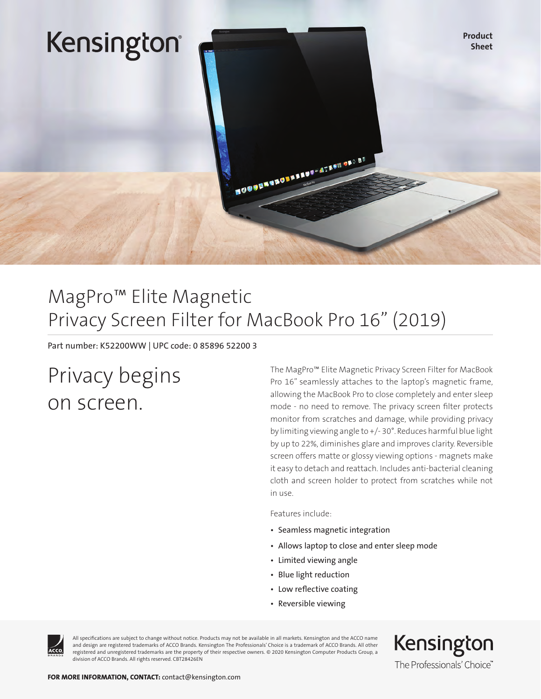

### MagPro™ Elite Magnetic Privacy Screen Filter for MacBook Pro 16" (2019)

Part number: K52200WW | UPC code: 0 85896 52200 3

## Privacy begins on screen.

The MagPro™ Elite Magnetic Privacy Screen Filter for MacBook Pro 16" seamlessly attaches to the laptop's magnetic frame, allowing the MacBook Pro to close completely and enter sleep mode - no need to remove. The privacy screen filter protects monitor from scratches and damage, while providing privacy by limiting viewing angle to +/- 30°. Reduces harmful blue light by up to 22%, diminishes glare and improves clarity. Reversible screen offers matte or glossy viewing options - magnets make it easy to detach and reattach. Includes anti-bacterial cleaning cloth and screen holder to protect from scratches while not in use.

Features include:

- Seamless magnetic integration
- Allows laptop to close and enter sleep mode
- Limited viewing angle
- Blue light reduction
- Low reflective coating
- Reversible viewing



All specifications are subject to change without notice. Products may not be available in all markets. Kensington and the ACCO name and design are registered trademarks of ACCO Brands. Kensington The Professionals' Choice is a trademark of ACCO Brands. All other registered and unregistered trademarks are the property of their respective owners. © 2020 Kensington Computer Products Group, a division of ACCO Brands. All rights reserved. CBT28426EN

Kensington The Professionals' Choice"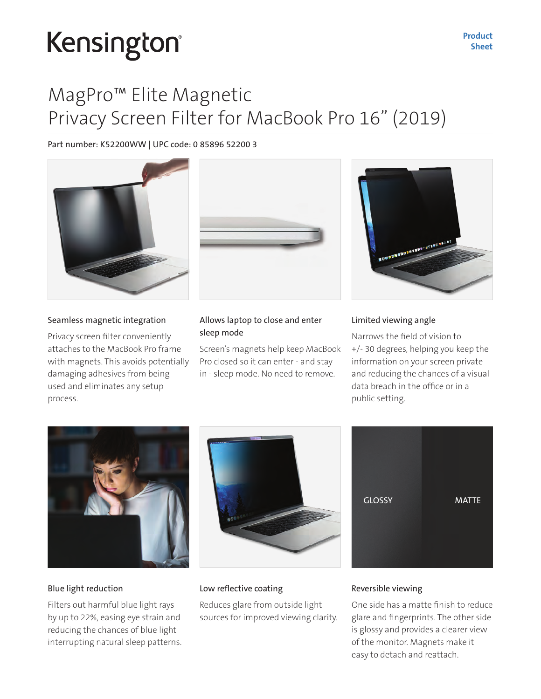# Kensington®

### MagPro™ Elite Magnetic Privacy Screen Filter for MacBook Pro 16" (2019)

#### Part number: K52200WW | UPC code: 0 85896 52200 3



#### Seamless magnetic integration

Privacy screen filter conveniently attaches to the MacBook Pro frame with magnets. This avoids potentially damaging adhesives from being used and eliminates any setup process.



#### Allows laptop to close and enter sleep mode

Screen's magnets help keep MacBook Pro closed so it can enter - and stay in - sleep mode. No need to remove.



#### Limited viewing angle

Narrows the field of vision to +/- 30 degrees, helping you keep the information on your screen private and reducing the chances of a visual data breach in the office or in a public setting.



#### Blue light reduction

Filters out harmful blue light rays by up to 22%, easing eye strain and reducing the chances of blue light interrupting natural sleep patterns.





#### Low reflective coating

Reduces glare from outside light sources for improved viewing clarity.

#### Reversible viewing

One side has a matte finish to reduce glare and fingerprints. The other side is glossy and provides a clearer view of the monitor. Magnets make it easy to detach and reattach.

Product Sheet